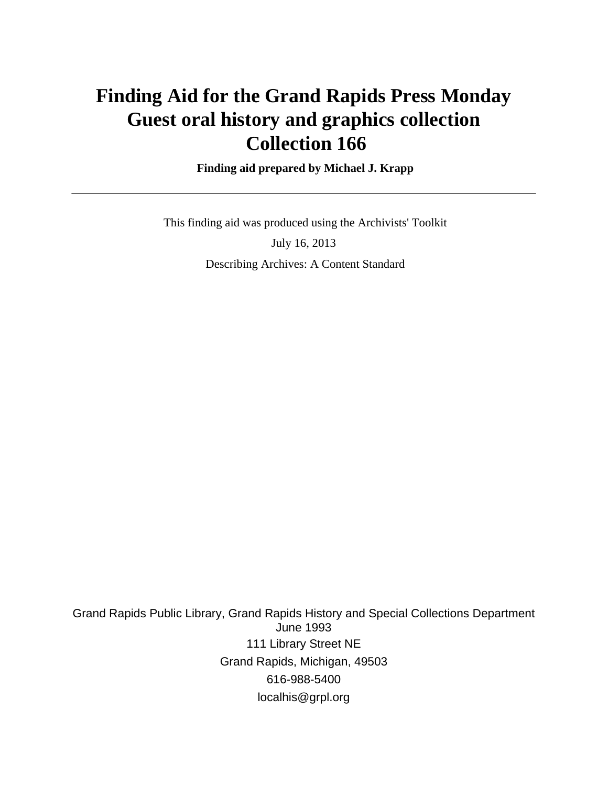# **Finding Aid for the Grand Rapids Press Monday Guest oral history and graphics collection Collection 166**

 **Finding aid prepared by Michael J. Krapp**

 This finding aid was produced using the Archivists' Toolkit July 16, 2013 Describing Archives: A Content Standard

Grand Rapids Public Library, Grand Rapids History and Special Collections Department June 1993 111 Library Street NE Grand Rapids, Michigan, 49503 616-988-5400 localhis@grpl.org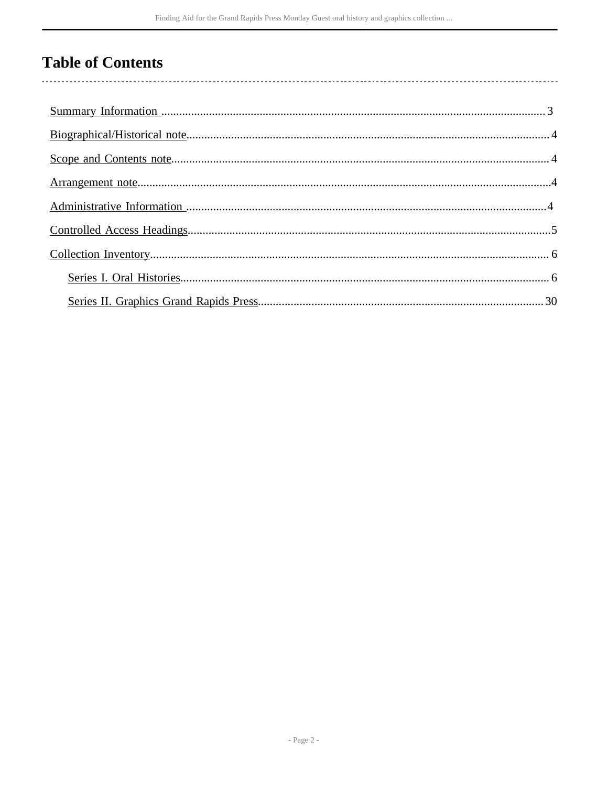# **Table of Contents**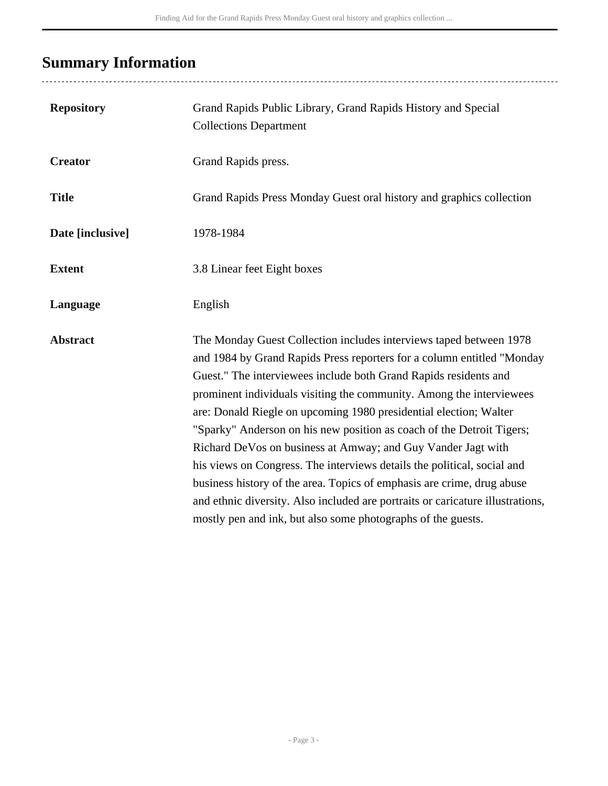# <span id="page-2-0"></span>**Summary Information**

| <b>Repository</b> | Grand Rapids Public Library, Grand Rapids History and Special<br><b>Collections Department</b>                                                                                                                                                                                                                                                                                                                                                                                                                                                                                                                                                                                                                                                                                                                |
|-------------------|---------------------------------------------------------------------------------------------------------------------------------------------------------------------------------------------------------------------------------------------------------------------------------------------------------------------------------------------------------------------------------------------------------------------------------------------------------------------------------------------------------------------------------------------------------------------------------------------------------------------------------------------------------------------------------------------------------------------------------------------------------------------------------------------------------------|
| <b>Creator</b>    | Grand Rapids press.                                                                                                                                                                                                                                                                                                                                                                                                                                                                                                                                                                                                                                                                                                                                                                                           |
| <b>Title</b>      | Grand Rapids Press Monday Guest oral history and graphics collection                                                                                                                                                                                                                                                                                                                                                                                                                                                                                                                                                                                                                                                                                                                                          |
| Date [inclusive]  | 1978-1984                                                                                                                                                                                                                                                                                                                                                                                                                                                                                                                                                                                                                                                                                                                                                                                                     |
| <b>Extent</b>     | 3.8 Linear feet Eight boxes                                                                                                                                                                                                                                                                                                                                                                                                                                                                                                                                                                                                                                                                                                                                                                                   |
| Language          | English                                                                                                                                                                                                                                                                                                                                                                                                                                                                                                                                                                                                                                                                                                                                                                                                       |
| <b>Abstract</b>   | The Monday Guest Collection includes interviews taped between 1978<br>and 1984 by Grand Rapids Press reporters for a column entitled "Monday<br>Guest." The interviewees include both Grand Rapids residents and<br>prominent individuals visiting the community. Among the interviewees<br>are: Donald Riegle on upcoming 1980 presidential election; Walter<br>"Sparky" Anderson on his new position as coach of the Detroit Tigers;<br>Richard DeVos on business at Amway; and Guy Vander Jagt with<br>his views on Congress. The interviews details the political, social and<br>business history of the area. Topics of emphasis are crime, drug abuse<br>and ethnic diversity. Also included are portraits or caricature illustrations,<br>mostly pen and ink, but also some photographs of the guests. |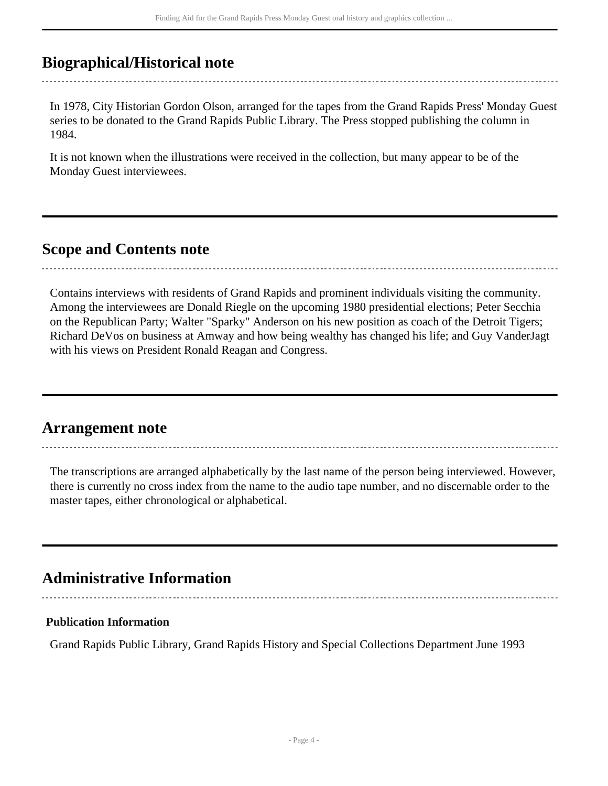## <span id="page-3-0"></span>**Biographical/Historical note**

In 1978, City Historian Gordon Olson, arranged for the tapes from the Grand Rapids Press' Monday Guest series to be donated to the Grand Rapids Public Library. The Press stopped publishing the column in 1984.

It is not known when the illustrations were received in the collection, but many appear to be of the Monday Guest interviewees.

## <span id="page-3-1"></span>**Scope and Contents note**

Contains interviews with residents of Grand Rapids and prominent individuals visiting the community. Among the interviewees are Donald Riegle on the upcoming 1980 presidential elections; Peter Secchia on the Republican Party; Walter "Sparky" Anderson on his new position as coach of the Detroit Tigers; Richard DeVos on business at Amway and how being wealthy has changed his life; and Guy VanderJagt with his views on President Ronald Reagan and Congress.

### <span id="page-3-2"></span>**Arrangement note**

The transcriptions are arranged alphabetically by the last name of the person being interviewed. However, there is currently no cross index from the name to the audio tape number, and no discernable order to the master tapes, either chronological or alphabetical.

## <span id="page-3-3"></span>**Administrative Information**

### **Publication Information**

Grand Rapids Public Library, Grand Rapids History and Special Collections Department June 1993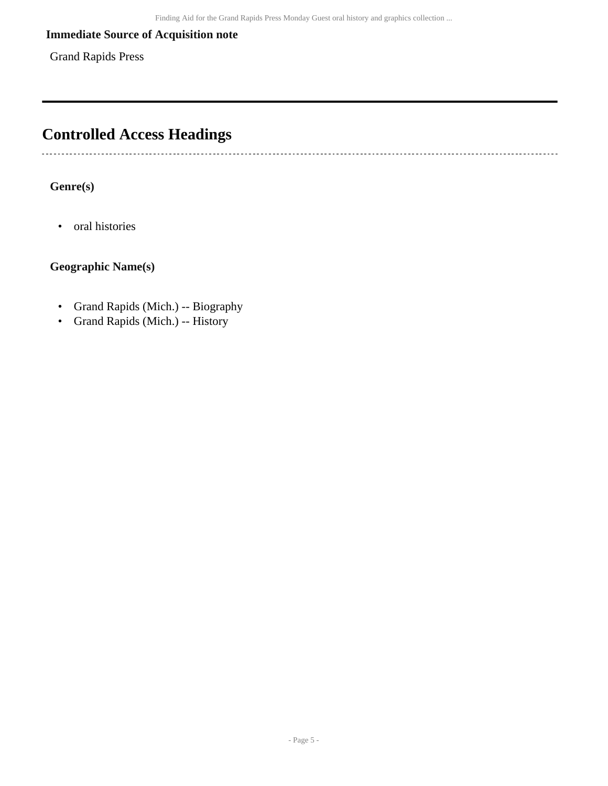### **Immediate Source of Acquisition note**

Grand Rapids Press

# <span id="page-4-0"></span>**Controlled Access Headings**

**Genre(s)**

• oral histories

-----------------------------

### **Geographic Name(s)**

- Grand Rapids (Mich.) -- Biography
- Grand Rapids (Mich.) -- History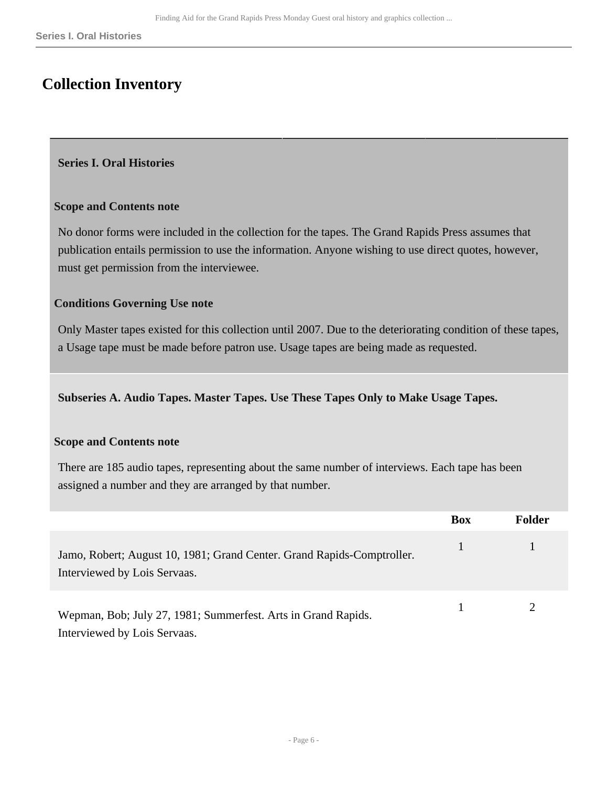# <span id="page-5-0"></span>**Collection Inventory**

#### <span id="page-5-1"></span>**Series I. Oral Histories**

#### **Scope and Contents note**

No donor forms were included in the collection for the tapes. The Grand Rapids Press assumes that publication entails permission to use the information. Anyone wishing to use direct quotes, however, must get permission from the interviewee.

#### **Conditions Governing Use note**

Only Master tapes existed for this collection until 2007. Due to the deteriorating condition of these tapes, a Usage tape must be made before patron use. Usage tapes are being made as requested.

**Subseries A. Audio Tapes. Master Tapes. Use These Tapes Only to Make Usage Tapes.** 

#### **Scope and Contents note**

There are 185 audio tapes, representing about the same number of interviews. Each tape has been assigned a number and they are arranged by that number.

|                                                                                                        | <b>Box</b> | <b>Folder</b> |
|--------------------------------------------------------------------------------------------------------|------------|---------------|
| Jamo, Robert; August 10, 1981; Grand Center. Grand Rapids-Comptroller.<br>Interviewed by Lois Servaas. | 47         |               |
| Wepman, Bob; July 27, 1981; Summerfest. Arts in Grand Rapids.<br>Interviewed by Lois Servaas.          |            |               |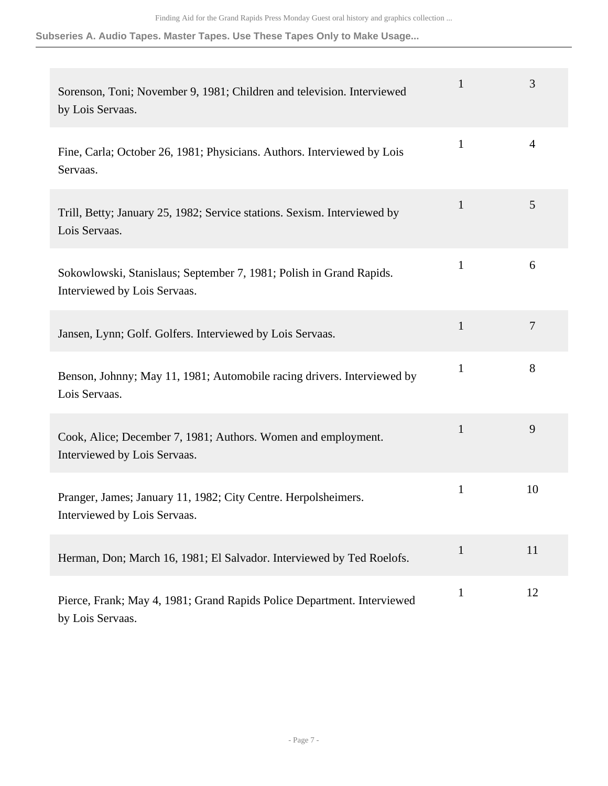| Sorenson, Toni; November 9, 1981; Children and television. Interviewed<br>by Lois Servaas.          | $\mathbf{1}$ | 3              |
|-----------------------------------------------------------------------------------------------------|--------------|----------------|
| Fine, Carla; October 26, 1981; Physicians. Authors. Interviewed by Lois<br>Servaas.                 | $\mathbf{1}$ | $\overline{4}$ |
| Trill, Betty; January 25, 1982; Service stations. Sexism. Interviewed by<br>Lois Servaas.           | $\mathbf{1}$ | 5              |
| Sokowlowski, Stanislaus; September 7, 1981; Polish in Grand Rapids.<br>Interviewed by Lois Servaas. | $\mathbf{1}$ | 6              |
| Jansen, Lynn; Golf. Golfers. Interviewed by Lois Servaas.                                           | $\mathbf{1}$ | $\overline{7}$ |
| Benson, Johnny; May 11, 1981; Automobile racing drivers. Interviewed by<br>Lois Servaas.            | $\mathbf{1}$ | 8              |
| Cook, Alice; December 7, 1981; Authors. Women and employment.<br>Interviewed by Lois Servaas.       | $\mathbf{1}$ | 9              |
| Pranger, James; January 11, 1982; City Centre. Herpolsheimers.<br>Interviewed by Lois Servaas.      | $\mathbf{1}$ | 10             |
| Herman, Don; March 16, 1981; El Salvador. Interviewed by Ted Roelofs.                               | $\mathbf{1}$ | 11             |
| Pierce, Frank; May 4, 1981; Grand Rapids Police Department. Interviewed<br>by Lois Servaas.         | $\mathbf{1}$ | 12             |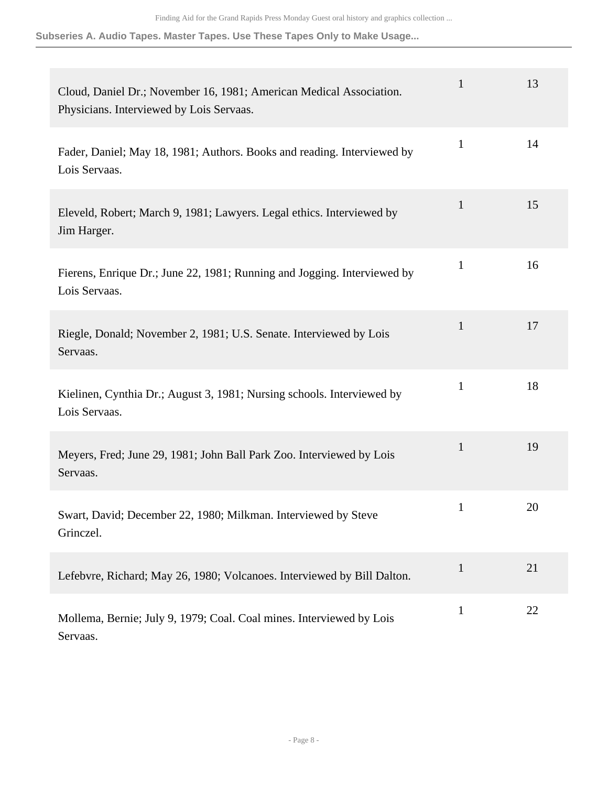| Cloud, Daniel Dr.; November 16, 1981; American Medical Association.<br>Physicians. Interviewed by Lois Servaas. | $\mathbf{1}$ | 13 |
|-----------------------------------------------------------------------------------------------------------------|--------------|----|
| Fader, Daniel; May 18, 1981; Authors. Books and reading. Interviewed by<br>Lois Servaas.                        | $\mathbf{1}$ | 14 |
| Eleveld, Robert; March 9, 1981; Lawyers. Legal ethics. Interviewed by<br>Jim Harger.                            | $\mathbf{1}$ | 15 |
| Fierens, Enrique Dr.; June 22, 1981; Running and Jogging. Interviewed by<br>Lois Servaas.                       | $\mathbf{1}$ | 16 |
| Riegle, Donald; November 2, 1981; U.S. Senate. Interviewed by Lois<br>Servaas.                                  | $\mathbf{1}$ | 17 |
| Kielinen, Cynthia Dr.; August 3, 1981; Nursing schools. Interviewed by<br>Lois Servaas.                         | $\mathbf{1}$ | 18 |
| Meyers, Fred; June 29, 1981; John Ball Park Zoo. Interviewed by Lois<br>Servaas.                                | $\mathbf{1}$ | 19 |
| Swart, David; December 22, 1980; Milkman. Interviewed by Steve<br>Grinczel.                                     | $\mathbf{1}$ | 20 |
| Lefebvre, Richard; May 26, 1980; Volcanoes. Interviewed by Bill Dalton.                                         | $\mathbf{1}$ | 21 |
| Mollema, Bernie; July 9, 1979; Coal. Coal mines. Interviewed by Lois<br>Servaas.                                | $\mathbf{1}$ | 22 |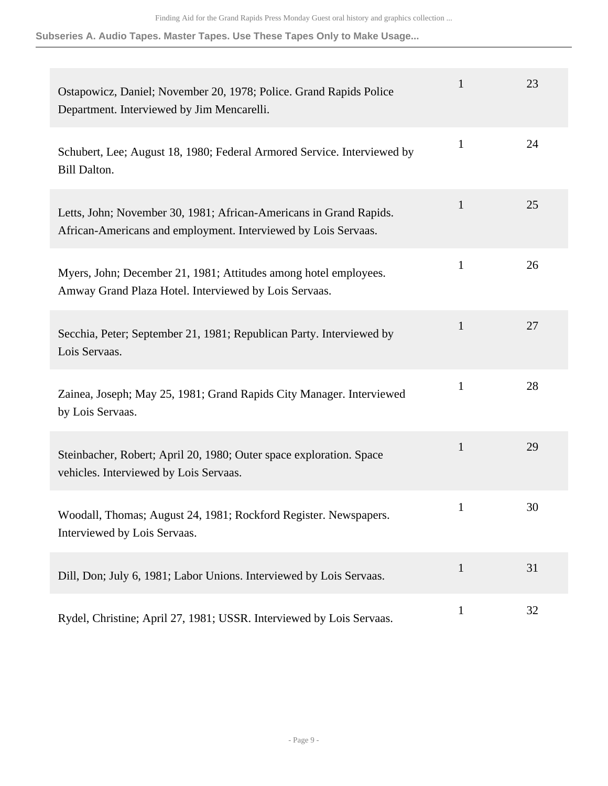| Ostapowicz, Daniel; November 20, 1978; Police. Grand Rapids Police<br>Department. Interviewed by Jim Mencarelli.                     | $\mathbf{1}$ | 23 |
|--------------------------------------------------------------------------------------------------------------------------------------|--------------|----|
| Schubert, Lee; August 18, 1980; Federal Armored Service. Interviewed by<br><b>Bill Dalton.</b>                                       | $\mathbf{1}$ | 24 |
| Letts, John; November 30, 1981; African-Americans in Grand Rapids.<br>African-Americans and employment. Interviewed by Lois Servaas. | $\mathbf{1}$ | 25 |
| Myers, John; December 21, 1981; Attitudes among hotel employees.<br>Amway Grand Plaza Hotel. Interviewed by Lois Servaas.            | $\mathbf{1}$ | 26 |
| Secchia, Peter; September 21, 1981; Republican Party. Interviewed by<br>Lois Servaas.                                                | $\mathbf{1}$ | 27 |
| Zainea, Joseph; May 25, 1981; Grand Rapids City Manager. Interviewed<br>by Lois Servaas.                                             | $\mathbf{1}$ | 28 |
| Steinbacher, Robert; April 20, 1980; Outer space exploration. Space<br>vehicles. Interviewed by Lois Servaas.                        | 1            | 29 |
| Woodall, Thomas; August 24, 1981; Rockford Register. Newspapers.<br>Interviewed by Lois Servaas.                                     | $\mathbf{1}$ | 30 |
| Dill, Don; July 6, 1981; Labor Unions. Interviewed by Lois Servaas.                                                                  | $\mathbf{1}$ | 31 |
| Rydel, Christine; April 27, 1981; USSR. Interviewed by Lois Servaas.                                                                 | $\mathbf{1}$ | 32 |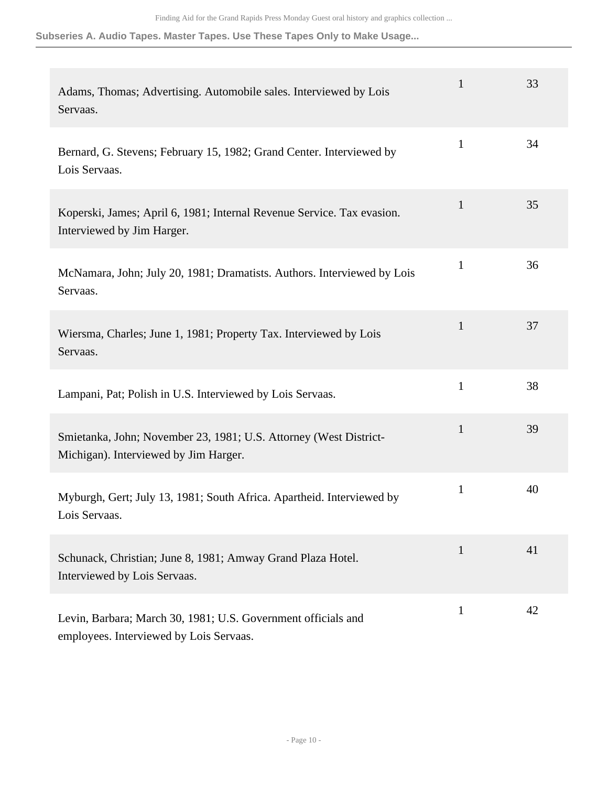| Adams, Thomas; Advertising. Automobile sales. Interviewed by Lois<br>Servaas.                              | $\mathbf{1}$ | 33 |
|------------------------------------------------------------------------------------------------------------|--------------|----|
| Bernard, G. Stevens; February 15, 1982; Grand Center. Interviewed by<br>Lois Servaas.                      | $\mathbf{1}$ | 34 |
| Koperski, James; April 6, 1981; Internal Revenue Service. Tax evasion.<br>Interviewed by Jim Harger.       | $\mathbf{1}$ | 35 |
| McNamara, John; July 20, 1981; Dramatists. Authors. Interviewed by Lois<br>Servaas.                        | $\mathbf{1}$ | 36 |
| Wiersma, Charles; June 1, 1981; Property Tax. Interviewed by Lois<br>Servaas.                              | $\mathbf{1}$ | 37 |
| Lampani, Pat; Polish in U.S. Interviewed by Lois Servaas.                                                  | $\mathbf{1}$ | 38 |
| Smietanka, John; November 23, 1981; U.S. Attorney (West District-<br>Michigan). Interviewed by Jim Harger. | $\mathbf{1}$ | 39 |
| Myburgh, Gert; July 13, 1981; South Africa. Apartheid. Interviewed by<br>Lois Servaas.                     | $\mathbf{1}$ | 40 |
| Schunack, Christian; June 8, 1981; Amway Grand Plaza Hotel.<br>Interviewed by Lois Servaas.                | $\mathbf{1}$ | 41 |
| Levin, Barbara; March 30, 1981; U.S. Government officials and<br>employees. Interviewed by Lois Servaas.   | $\mathbf{1}$ | 42 |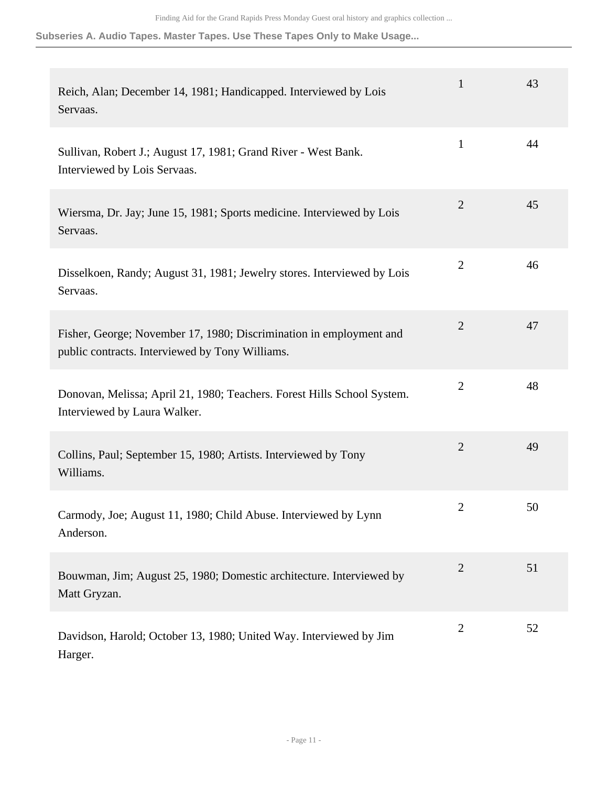| Reich, Alan; December 14, 1981; Handicapped. Interviewed by Lois<br>Servaas.                                           | $\mathbf{1}$   | 43 |
|------------------------------------------------------------------------------------------------------------------------|----------------|----|
| Sullivan, Robert J.; August 17, 1981; Grand River - West Bank.<br>Interviewed by Lois Servaas.                         | $\mathbf{1}$   | 44 |
| Wiersma, Dr. Jay; June 15, 1981; Sports medicine. Interviewed by Lois<br>Servaas.                                      | $\overline{2}$ | 45 |
| Disselkoen, Randy; August 31, 1981; Jewelry stores. Interviewed by Lois<br>Servaas.                                    | $\overline{2}$ | 46 |
| Fisher, George; November 17, 1980; Discrimination in employment and<br>public contracts. Interviewed by Tony Williams. | $\mathbf{2}$   | 47 |
| Donovan, Melissa; April 21, 1980; Teachers. Forest Hills School System.<br>Interviewed by Laura Walker.                | $\overline{2}$ | 48 |
| Collins, Paul; September 15, 1980; Artists. Interviewed by Tony<br>Williams.                                           | $\overline{2}$ | 49 |
| Carmody, Joe; August 11, 1980; Child Abuse. Interviewed by Lynn<br>Anderson.                                           | $\mathbf{2}$   | 50 |
| Bouwman, Jim; August 25, 1980; Domestic architecture. Interviewed by<br>Matt Gryzan.                                   | $\mathbf{2}$   | 51 |
| Davidson, Harold; October 13, 1980; United Way. Interviewed by Jim<br>Harger.                                          | $\overline{2}$ | 52 |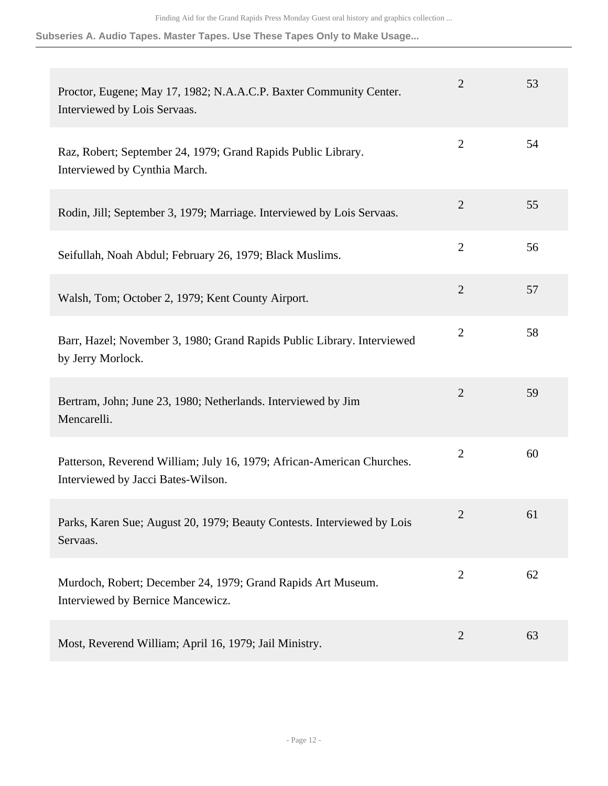| Proctor, Eugene; May 17, 1982; N.A.A.C.P. Baxter Community Center.<br>Interviewed by Lois Servaas.           | $\overline{2}$ | 53 |
|--------------------------------------------------------------------------------------------------------------|----------------|----|
| Raz, Robert; September 24, 1979; Grand Rapids Public Library.<br>Interviewed by Cynthia March.               | $\overline{2}$ | 54 |
| Rodin, Jill; September 3, 1979; Marriage. Interviewed by Lois Servaas.                                       | $\mathbf{2}$   | 55 |
| Seifullah, Noah Abdul; February 26, 1979; Black Muslims.                                                     | $\overline{2}$ | 56 |
| Walsh, Tom; October 2, 1979; Kent County Airport.                                                            | $\overline{2}$ | 57 |
| Barr, Hazel; November 3, 1980; Grand Rapids Public Library. Interviewed<br>by Jerry Morlock.                 | $\overline{c}$ | 58 |
| Bertram, John; June 23, 1980; Netherlands. Interviewed by Jim<br>Mencarelli.                                 | $\mathbf{2}$   | 59 |
| Patterson, Reverend William; July 16, 1979; African-American Churches.<br>Interviewed by Jacci Bates-Wilson. | $\overline{2}$ | 60 |
| Parks, Karen Sue; August 20, 1979; Beauty Contests. Interviewed by Lois<br>Servaas.                          | $\mathfrak{2}$ | 61 |
| Murdoch, Robert; December 24, 1979; Grand Rapids Art Museum.<br>Interviewed by Bernice Mancewicz.            | $\overline{2}$ | 62 |
| Most, Reverend William; April 16, 1979; Jail Ministry.                                                       | $\overline{2}$ | 63 |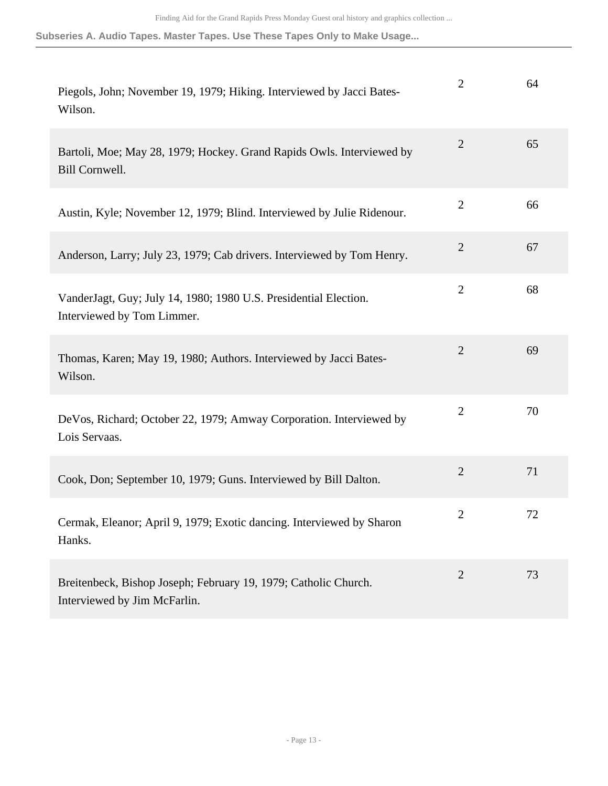| Piegols, John; November 19, 1979; Hiking. Interviewed by Jacci Bates-<br>Wilson.                | $\overline{2}$ | 64 |
|-------------------------------------------------------------------------------------------------|----------------|----|
| Bartoli, Moe; May 28, 1979; Hockey. Grand Rapids Owls. Interviewed by<br>Bill Cornwell.         | $\overline{2}$ | 65 |
| Austin, Kyle; November 12, 1979; Blind. Interviewed by Julie Ridenour.                          | $\overline{2}$ | 66 |
| Anderson, Larry; July 23, 1979; Cab drivers. Interviewed by Tom Henry.                          | $\overline{2}$ | 67 |
| VanderJagt, Guy; July 14, 1980; 1980 U.S. Presidential Election.<br>Interviewed by Tom Limmer.  | $\overline{2}$ | 68 |
| Thomas, Karen; May 19, 1980; Authors. Interviewed by Jacci Bates-<br>Wilson.                    | $\overline{2}$ | 69 |
| DeVos, Richard; October 22, 1979; Amway Corporation. Interviewed by<br>Lois Servaas.            | $\overline{2}$ | 70 |
| Cook, Don; September 10, 1979; Guns. Interviewed by Bill Dalton.                                | $\overline{2}$ | 71 |
| Cermak, Eleanor; April 9, 1979; Exotic dancing. Interviewed by Sharon<br>Hanks.                 | 2              | 72 |
| Breitenbeck, Bishop Joseph; February 19, 1979; Catholic Church.<br>Interviewed by Jim McFarlin. | $\overline{2}$ | 73 |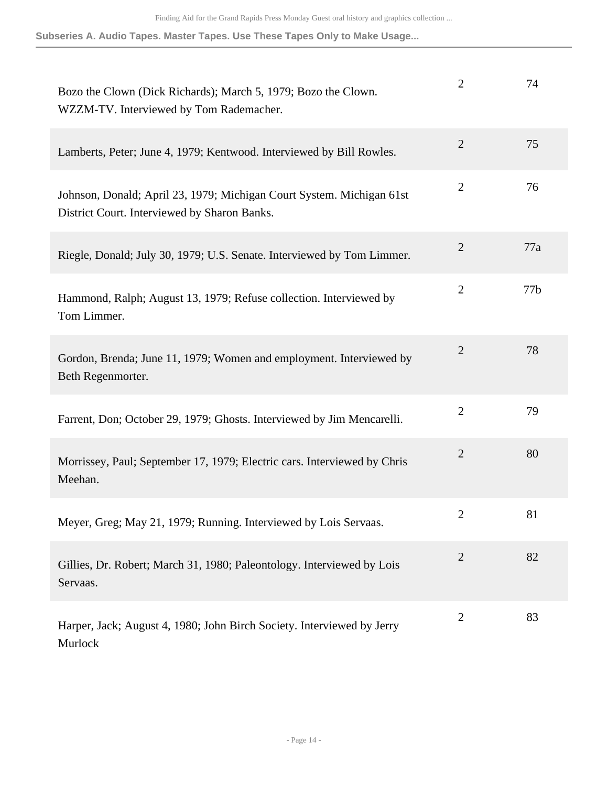| Bozo the Clown (Dick Richards); March 5, 1979; Bozo the Clown.<br>WZZM-TV. Interviewed by Tom Rademacher.             | $\overline{2}$ | 74  |
|-----------------------------------------------------------------------------------------------------------------------|----------------|-----|
| Lamberts, Peter; June 4, 1979; Kentwood. Interviewed by Bill Rowles.                                                  | $\overline{2}$ | 75  |
| Johnson, Donald; April 23, 1979; Michigan Court System. Michigan 61st<br>District Court. Interviewed by Sharon Banks. | $\overline{2}$ | 76  |
| Riegle, Donald; July 30, 1979; U.S. Senate. Interviewed by Tom Limmer.                                                | $\overline{2}$ | 77a |
| Hammond, Ralph; August 13, 1979; Refuse collection. Interviewed by<br>Tom Limmer.                                     | $\overline{2}$ | 77b |
| Gordon, Brenda; June 11, 1979; Women and employment. Interviewed by<br>Beth Regenmorter.                              | $\overline{2}$ | 78  |
| Farrent, Don; October 29, 1979; Ghosts. Interviewed by Jim Mencarelli.                                                | $\overline{2}$ | 79  |
| Morrissey, Paul; September 17, 1979; Electric cars. Interviewed by Chris<br>Meehan.                                   | $\overline{2}$ | 80  |
| Meyer, Greg; May 21, 1979; Running. Interviewed by Lois Servaas.                                                      | $\overline{2}$ | 81  |
| Gillies, Dr. Robert; March 31, 1980; Paleontology. Interviewed by Lois<br>Servaas.                                    | $\overline{2}$ | 82  |
| Harper, Jack; August 4, 1980; John Birch Society. Interviewed by Jerry<br>Murlock                                     | $\mathbf{2}$   | 83  |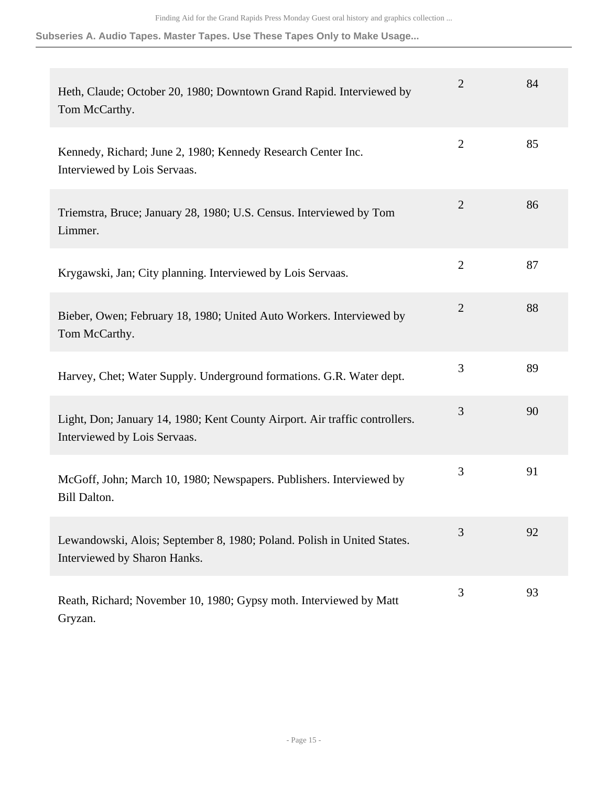| Heth, Claude; October 20, 1980; Downtown Grand Rapid. Interviewed by<br>Tom McCarthy.                       | $\overline{2}$ | 84 |
|-------------------------------------------------------------------------------------------------------------|----------------|----|
| Kennedy, Richard; June 2, 1980; Kennedy Research Center Inc.<br>Interviewed by Lois Servaas.                | $\overline{2}$ | 85 |
| Triemstra, Bruce; January 28, 1980; U.S. Census. Interviewed by Tom<br>Limmer.                              | $\overline{2}$ | 86 |
| Krygawski, Jan; City planning. Interviewed by Lois Servaas.                                                 | $\overline{2}$ | 87 |
| Bieber, Owen; February 18, 1980; United Auto Workers. Interviewed by<br>Tom McCarthy.                       | $\overline{2}$ | 88 |
| Harvey, Chet; Water Supply. Underground formations. G.R. Water dept.                                        | 3              | 89 |
| Light, Don; January 14, 1980; Kent County Airport. Air traffic controllers.<br>Interviewed by Lois Servaas. | $\mathfrak{Z}$ | 90 |
| McGoff, John; March 10, 1980; Newspapers. Publishers. Interviewed by<br><b>Bill Dalton.</b>                 | 3              | 91 |
| Lewandowski, Alois; September 8, 1980; Poland. Polish in United States.<br>Interviewed by Sharon Hanks.     | 3              | 92 |
| Reath, Richard; November 10, 1980; Gypsy moth. Interviewed by Matt<br>Gryzan.                               | 3              | 93 |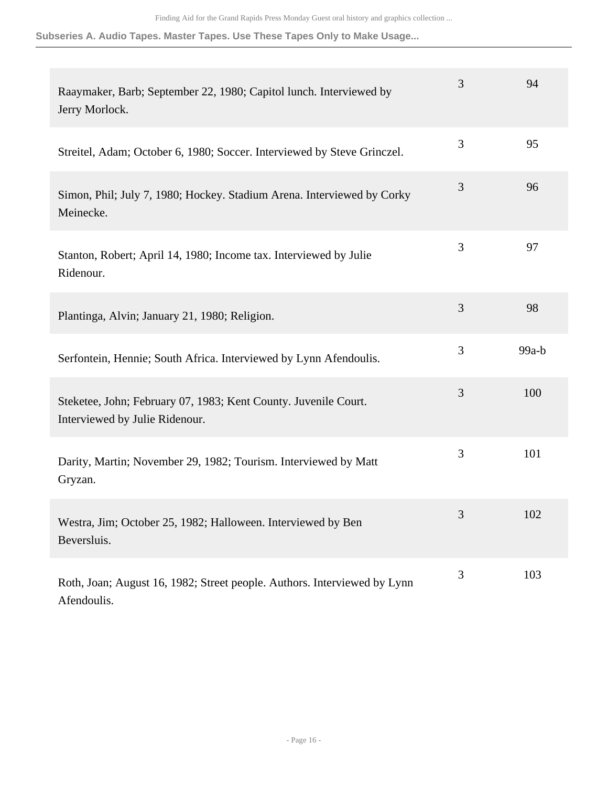| Raaymaker, Barb; September 22, 1980; Capitol lunch. Interviewed by<br>Jerry Morlock.              | 3 | 94      |
|---------------------------------------------------------------------------------------------------|---|---------|
| Streitel, Adam; October 6, 1980; Soccer. Interviewed by Steve Grinczel.                           | 3 | 95      |
| Simon, Phil; July 7, 1980; Hockey. Stadium Arena. Interviewed by Corky<br>Meinecke.               | 3 | 96      |
| Stanton, Robert; April 14, 1980; Income tax. Interviewed by Julie<br>Ridenour.                    | 3 | 97      |
| Plantinga, Alvin; January 21, 1980; Religion.                                                     | 3 | 98      |
| Serfontein, Hennie; South Africa. Interviewed by Lynn Afendoulis.                                 | 3 | $99a-b$ |
| Steketee, John; February 07, 1983; Kent County. Juvenile Court.<br>Interviewed by Julie Ridenour. | 3 | 100     |
| Darity, Martin; November 29, 1982; Tourism. Interviewed by Matt<br>Gryzan.                        | 3 | 101     |
| Westra, Jim; October 25, 1982; Halloween. Interviewed by Ben<br>Beversluis.                       | 3 | 102     |
| Roth, Joan; August 16, 1982; Street people. Authors. Interviewed by Lynn<br>Afendoulis.           | 3 | 103     |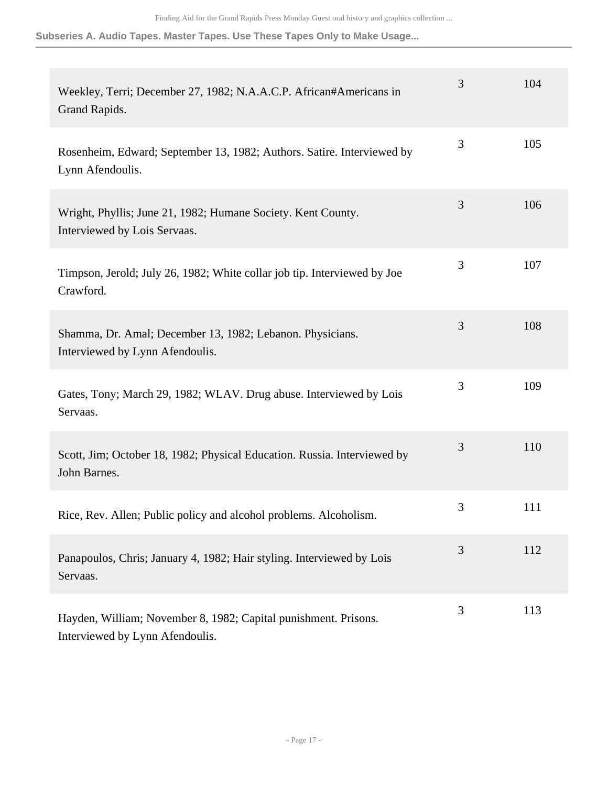| Weekley, Terri; December 27, 1982; N.A.A.C.P. African#Americans in<br>Grand Rapids.                | 3              | 104 |
|----------------------------------------------------------------------------------------------------|----------------|-----|
| Rosenheim, Edward; September 13, 1982; Authors. Satire. Interviewed by<br>Lynn Afendoulis.         | 3              | 105 |
| Wright, Phyllis; June 21, 1982; Humane Society. Kent County.<br>Interviewed by Lois Servaas.       | 3              | 106 |
| Timpson, Jerold; July 26, 1982; White collar job tip. Interviewed by Joe<br>Crawford.              | 3              | 107 |
| Shamma, Dr. Amal; December 13, 1982; Lebanon. Physicians.<br>Interviewed by Lynn Afendoulis.       | 3              | 108 |
| Gates, Tony; March 29, 1982; WLAV. Drug abuse. Interviewed by Lois<br>Servaas.                     | $\mathfrak{Z}$ | 109 |
| Scott, Jim; October 18, 1982; Physical Education. Russia. Interviewed by<br>John Barnes.           | $\mathfrak{Z}$ | 110 |
| Rice, Rev. Allen; Public policy and alcohol problems. Alcoholism.                                  | 3              | 111 |
| Panapoulos, Chris; January 4, 1982; Hair styling. Interviewed by Lois<br>Servaas.                  | 3              | 112 |
| Hayden, William; November 8, 1982; Capital punishment. Prisons.<br>Interviewed by Lynn Afendoulis. | 3              | 113 |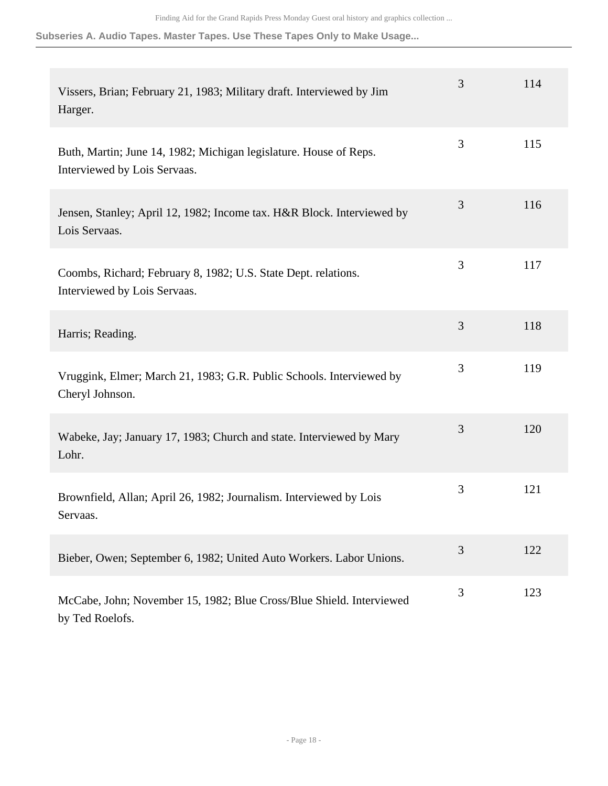| Vissers, Brian; February 21, 1983; Military draft. Interviewed by Jim<br>Harger.                  | 3              | 114 |
|---------------------------------------------------------------------------------------------------|----------------|-----|
| Buth, Martin; June 14, 1982; Michigan legislature. House of Reps.<br>Interviewed by Lois Servaas. | $\mathfrak{Z}$ | 115 |
| Jensen, Stanley; April 12, 1982; Income tax. H&R Block. Interviewed by<br>Lois Servaas.           | 3              | 116 |
| Coombs, Richard; February 8, 1982; U.S. State Dept. relations.<br>Interviewed by Lois Servaas.    | 3              | 117 |
| Harris; Reading.                                                                                  | 3              | 118 |
| Vruggink, Elmer; March 21, 1983; G.R. Public Schools. Interviewed by<br>Cheryl Johnson.           | $\mathfrak{Z}$ | 119 |
| Wabeke, Jay; January 17, 1983; Church and state. Interviewed by Mary<br>Lohr.                     | 3              | 120 |
| Brownfield, Allan; April 26, 1982; Journalism. Interviewed by Lois<br>Servaas.                    | $\mathfrak{Z}$ | 121 |
| Bieber, Owen; September 6, 1982; United Auto Workers. Labor Unions.                               | 3              | 122 |
| McCabe, John; November 15, 1982; Blue Cross/Blue Shield. Interviewed<br>by Ted Roelofs.           | 3              | 123 |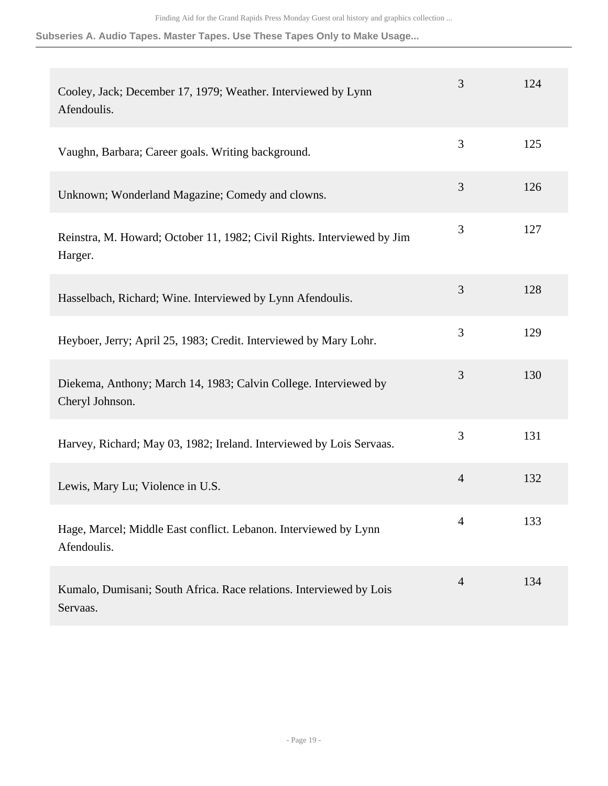| Cooley, Jack; December 17, 1979; Weather. Interviewed by Lynn<br>Afendoulis.        | 3              | 124 |
|-------------------------------------------------------------------------------------|----------------|-----|
| Vaughn, Barbara; Career goals. Writing background.                                  | 3              | 125 |
| Unknown; Wonderland Magazine; Comedy and clowns.                                    | 3              | 126 |
| Reinstra, M. Howard; October 11, 1982; Civil Rights. Interviewed by Jim<br>Harger.  | 3              | 127 |
| Hasselbach, Richard; Wine. Interviewed by Lynn Afendoulis.                          | 3              | 128 |
| Heyboer, Jerry; April 25, 1983; Credit. Interviewed by Mary Lohr.                   | 3              | 129 |
| Diekema, Anthony; March 14, 1983; Calvin College. Interviewed by<br>Cheryl Johnson. | 3              | 130 |
| Harvey, Richard; May 03, 1982; Ireland. Interviewed by Lois Servaas.                | 3              | 131 |
| Lewis, Mary Lu; Violence in U.S.                                                    | $\overline{4}$ | 132 |
| Hage, Marcel; Middle East conflict. Lebanon. Interviewed by Lynn<br>Afendoulis.     | 4              | 133 |
| Kumalo, Dumisani; South Africa. Race relations. Interviewed by Lois<br>Servaas.     | $\overline{4}$ | 134 |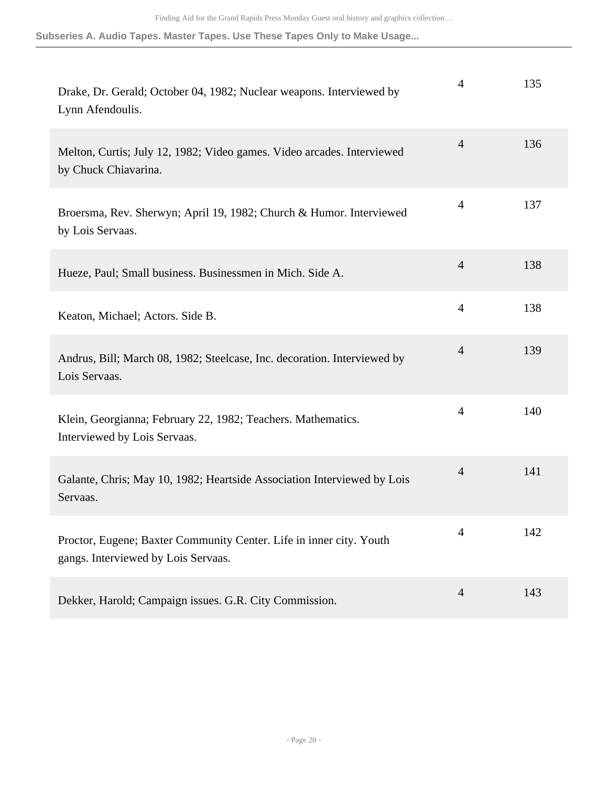| Drake, Dr. Gerald; October 04, 1982; Nuclear weapons. Interviewed by<br>Lynn Afendoulis.                   | 4              | 135 |
|------------------------------------------------------------------------------------------------------------|----------------|-----|
| Melton, Curtis; July 12, 1982; Video games. Video arcades. Interviewed<br>by Chuck Chiavarina.             | $\overline{4}$ | 136 |
| Broersma, Rev. Sherwyn; April 19, 1982; Church & Humor. Interviewed<br>by Lois Servaas.                    | $\overline{4}$ | 137 |
| Hueze, Paul; Small business. Businessmen in Mich. Side A.                                                  | $\overline{4}$ | 138 |
| Keaton, Michael; Actors. Side B.                                                                           | $\overline{4}$ | 138 |
| Andrus, Bill; March 08, 1982; Steelcase, Inc. decoration. Interviewed by<br>Lois Servaas.                  | $\overline{4}$ | 139 |
| Klein, Georgianna; February 22, 1982; Teachers. Mathematics.<br>Interviewed by Lois Servaas.               | $\overline{4}$ | 140 |
| Galante, Chris; May 10, 1982; Heartside Association Interviewed by Lois<br>Servaas.                        | $\overline{4}$ | 141 |
| Proctor, Eugene; Baxter Community Center. Life in inner city. Youth<br>gangs. Interviewed by Lois Servaas. | 4              | 142 |
| Dekker, Harold; Campaign issues. G.R. City Commission.                                                     | $\overline{4}$ | 143 |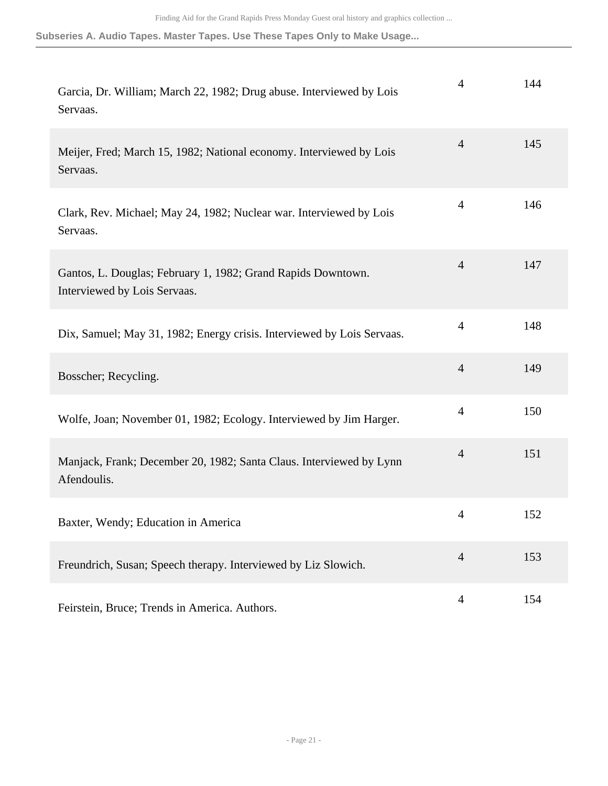| Garcia, Dr. William; March 22, 1982; Drug abuse. Interviewed by Lois<br>Servaas.             | 4              | 144 |
|----------------------------------------------------------------------------------------------|----------------|-----|
| Meijer, Fred; March 15, 1982; National economy. Interviewed by Lois<br>Servaas.              | $\overline{4}$ | 145 |
| Clark, Rev. Michael; May 24, 1982; Nuclear war. Interviewed by Lois<br>Servaas.              | $\overline{4}$ | 146 |
| Gantos, L. Douglas; February 1, 1982; Grand Rapids Downtown.<br>Interviewed by Lois Servaas. | $\overline{4}$ | 147 |
| Dix, Samuel; May 31, 1982; Energy crisis. Interviewed by Lois Servaas.                       | $\overline{4}$ | 148 |
| Bosscher; Recycling.                                                                         | $\overline{4}$ | 149 |
| Wolfe, Joan; November 01, 1982; Ecology. Interviewed by Jim Harger.                          | $\overline{4}$ | 150 |
| Manjack, Frank; December 20, 1982; Santa Claus. Interviewed by Lynn<br>Afendoulis.           | $\overline{4}$ | 151 |
| Baxter, Wendy; Education in America                                                          | 4              | 152 |
| Freundrich, Susan; Speech therapy. Interviewed by Liz Slowich.                               | $\overline{4}$ | 153 |
| Feirstein, Bruce; Trends in America. Authors.                                                | $\overline{4}$ | 154 |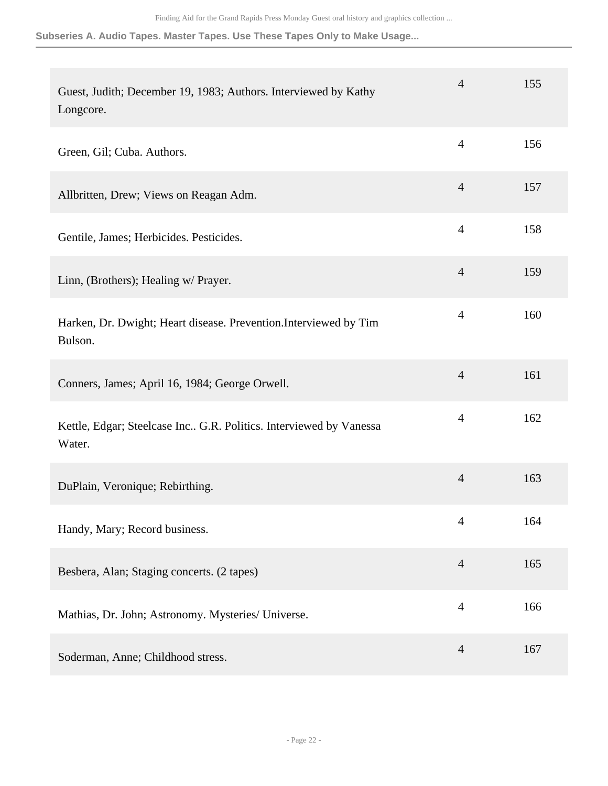| Guest, Judith; December 19, 1983; Authors. Interviewed by Kathy<br>Longcore. | $\overline{4}$ | 155 |
|------------------------------------------------------------------------------|----------------|-----|
| Green, Gil; Cuba. Authors.                                                   | $\overline{4}$ | 156 |
| Allbritten, Drew; Views on Reagan Adm.                                       | $\overline{4}$ | 157 |
| Gentile, James; Herbicides. Pesticides.                                      | $\overline{4}$ | 158 |
| Linn, (Brothers); Healing w/ Prayer.                                         | $\overline{4}$ | 159 |
| Harken, Dr. Dwight; Heart disease. Prevention.Interviewed by Tim<br>Bulson.  | $\overline{4}$ | 160 |
| Conners, James; April 16, 1984; George Orwell.                               | $\overline{4}$ | 161 |
| Kettle, Edgar; Steelcase Inc G.R. Politics. Interviewed by Vanessa<br>Water. | $\overline{4}$ | 162 |
| DuPlain, Veronique; Rebirthing.                                              | $\overline{4}$ | 163 |
| Handy, Mary; Record business.                                                | $\overline{4}$ | 164 |
| Besbera, Alan; Staging concerts. (2 tapes)                                   | $\overline{4}$ | 165 |
| Mathias, Dr. John; Astronomy. Mysteries/ Universe.                           | $\overline{4}$ | 166 |
| Soderman, Anne; Childhood stress.                                            | $\overline{4}$ | 167 |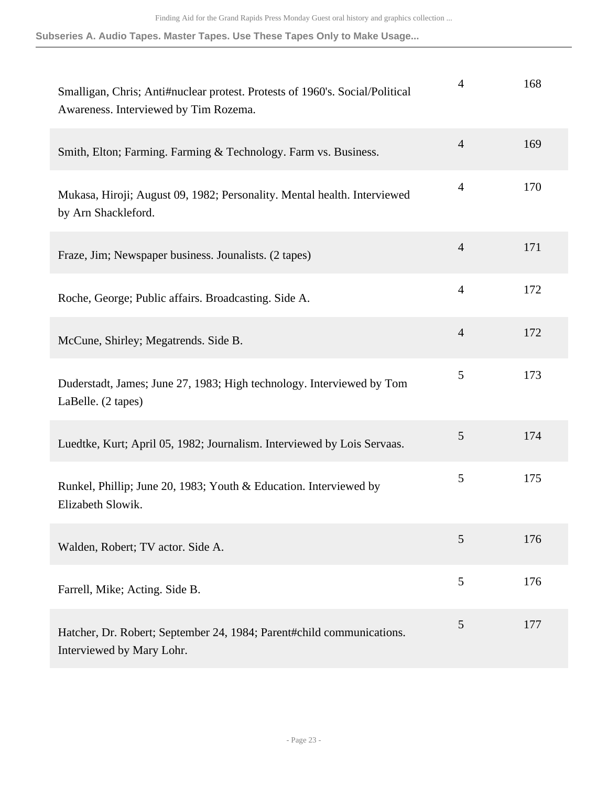| Smalligan, Chris; Anti#nuclear protest. Protests of 1960's. Social/Political<br>Awareness. Interviewed by Tim Rozema. | $\overline{4}$ | 168 |
|-----------------------------------------------------------------------------------------------------------------------|----------------|-----|
| Smith, Elton; Farming. Farming & Technology. Farm vs. Business.                                                       | $\overline{4}$ | 169 |
| Mukasa, Hiroji; August 09, 1982; Personality. Mental health. Interviewed<br>by Arn Shackleford.                       | $\overline{4}$ | 170 |
| Fraze, Jim; Newspaper business. Jounalists. (2 tapes)                                                                 | $\overline{4}$ | 171 |
| Roche, George; Public affairs. Broadcasting. Side A.                                                                  | $\overline{4}$ | 172 |
| McCune, Shirley; Megatrends. Side B.                                                                                  | $\overline{4}$ | 172 |
| Duderstadt, James; June 27, 1983; High technology. Interviewed by Tom<br>LaBelle. (2 tapes)                           | 5              | 173 |
| Luedtke, Kurt; April 05, 1982; Journalism. Interviewed by Lois Servaas.                                               | 5              | 174 |
| Runkel, Phillip; June 20, 1983; Youth & Education. Interviewed by<br>Elizabeth Slowik.                                | 5              | 175 |
| Walden, Robert; TV actor. Side A.                                                                                     | 5              | 176 |
| Farrell, Mike; Acting. Side B.                                                                                        | 5              | 176 |
| Hatcher, Dr. Robert; September 24, 1984; Parent#child communications.<br>Interviewed by Mary Lohr.                    | 5              | 177 |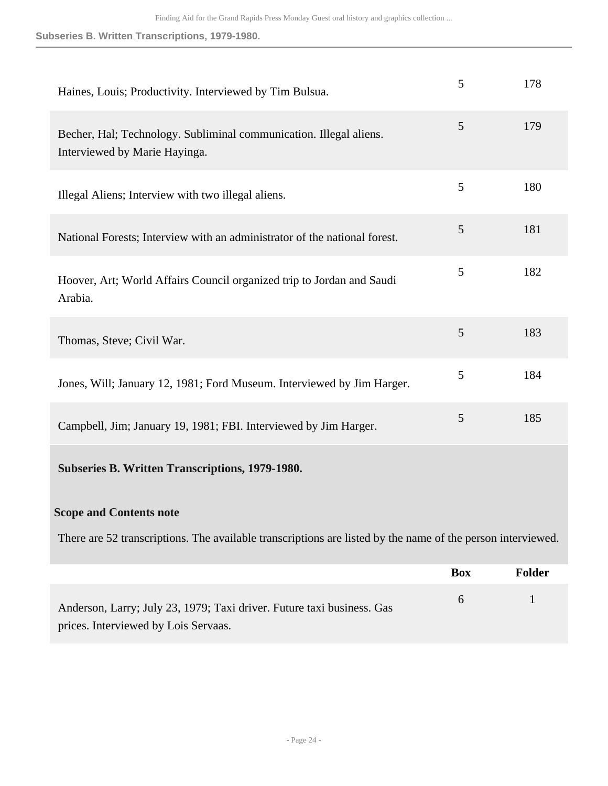| Haines, Louis; Productivity. Interviewed by Tim Bulsua.                                                        | 5          | 178    |
|----------------------------------------------------------------------------------------------------------------|------------|--------|
| Becher, Hal; Technology. Subliminal communication. Illegal aliens.<br>Interviewed by Marie Hayinga.            | 5          | 179    |
| Illegal Aliens; Interview with two illegal aliens.                                                             | 5          | 180    |
| National Forests; Interview with an administrator of the national forest.                                      | 5          | 181    |
| Hoover, Art; World Affairs Council organized trip to Jordan and Saudi<br>Arabia.                               | 5          | 182    |
| Thomas, Steve; Civil War.                                                                                      | 5          | 183    |
| Jones, Will; January 12, 1981; Ford Museum. Interviewed by Jim Harger.                                         | 5          | 184    |
| Campbell, Jim; January 19, 1981; FBI. Interviewed by Jim Harger.                                               | 5          | 185    |
| Subseries B. Written Transcriptions, 1979-1980.                                                                |            |        |
| <b>Scope and Contents note</b>                                                                                 |            |        |
| There are 52 transcriptions. The available transcriptions are listed by the name of the person interviewed.    |            |        |
|                                                                                                                | <b>Box</b> | Folder |
| Anderson, Larry; July 23, 1979; Taxi driver. Future taxi business. Gas<br>prices. Interviewed by Lois Servaas. | 6          | 1      |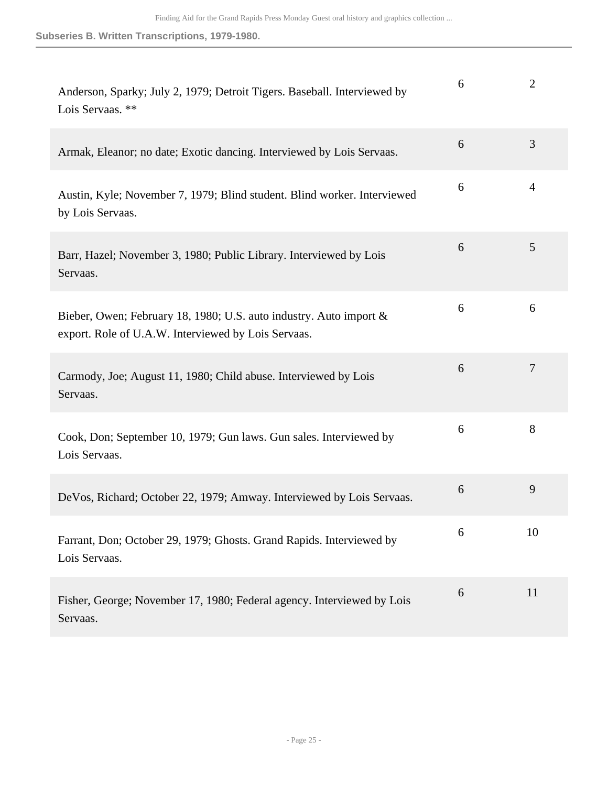| Anderson, Sparky; July 2, 1979; Detroit Tigers. Baseball. Interviewed by<br>Lois Servaas. **                              | 6 | $\overline{2}$ |
|---------------------------------------------------------------------------------------------------------------------------|---|----------------|
| Armak, Eleanor; no date; Exotic dancing. Interviewed by Lois Servaas.                                                     | 6 | 3              |
| Austin, Kyle; November 7, 1979; Blind student. Blind worker. Interviewed<br>by Lois Servaas.                              | 6 | $\overline{4}$ |
| Barr, Hazel; November 3, 1980; Public Library. Interviewed by Lois<br>Servaas.                                            | 6 | 5              |
| Bieber, Owen; February 18, 1980; U.S. auto industry. Auto import &<br>export. Role of U.A.W. Interviewed by Lois Servaas. | 6 | 6              |
| Carmody, Joe; August 11, 1980; Child abuse. Interviewed by Lois<br>Servaas.                                               | 6 | 7              |
| Cook, Don; September 10, 1979; Gun laws. Gun sales. Interviewed by<br>Lois Servaas.                                       | 6 | 8              |
| DeVos, Richard; October 22, 1979; Amway. Interviewed by Lois Servaas.                                                     | 6 | 9              |
| Farrant, Don; October 29, 1979; Ghosts. Grand Rapids. Interviewed by<br>Lois Servaas.                                     | 6 | 10             |
| Fisher, George; November 17, 1980; Federal agency. Interviewed by Lois<br>Servaas.                                        | 6 | 11             |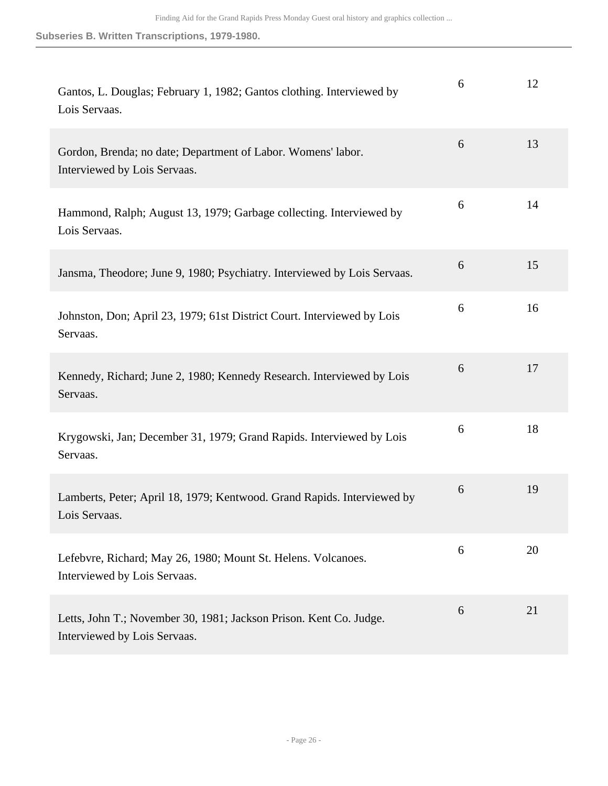| Gantos, L. Douglas; February 1, 1982; Gantos clothing. Interviewed by<br>Lois Servaas.             | 6 | 12 |
|----------------------------------------------------------------------------------------------------|---|----|
| Gordon, Brenda; no date; Department of Labor. Womens' labor.<br>Interviewed by Lois Servaas.       | 6 | 13 |
| Hammond, Ralph; August 13, 1979; Garbage collecting. Interviewed by<br>Lois Servaas.               | 6 | 14 |
| Jansma, Theodore; June 9, 1980; Psychiatry. Interviewed by Lois Servaas.                           | 6 | 15 |
| Johnston, Don; April 23, 1979; 61st District Court. Interviewed by Lois<br>Servaas.                | 6 | 16 |
| Kennedy, Richard; June 2, 1980; Kennedy Research. Interviewed by Lois<br>Servaas.                  | 6 | 17 |
| Krygowski, Jan; December 31, 1979; Grand Rapids. Interviewed by Lois<br>Servaas.                   | 6 | 18 |
| Lamberts, Peter; April 18, 1979; Kentwood. Grand Rapids. Interviewed by<br>Lois Servaas.           | 6 | 19 |
| Lefebvre, Richard; May 26, 1980; Mount St. Helens. Volcanoes.<br>Interviewed by Lois Servaas.      | 6 | 20 |
| Letts, John T.; November 30, 1981; Jackson Prison. Kent Co. Judge.<br>Interviewed by Lois Servaas. | 6 | 21 |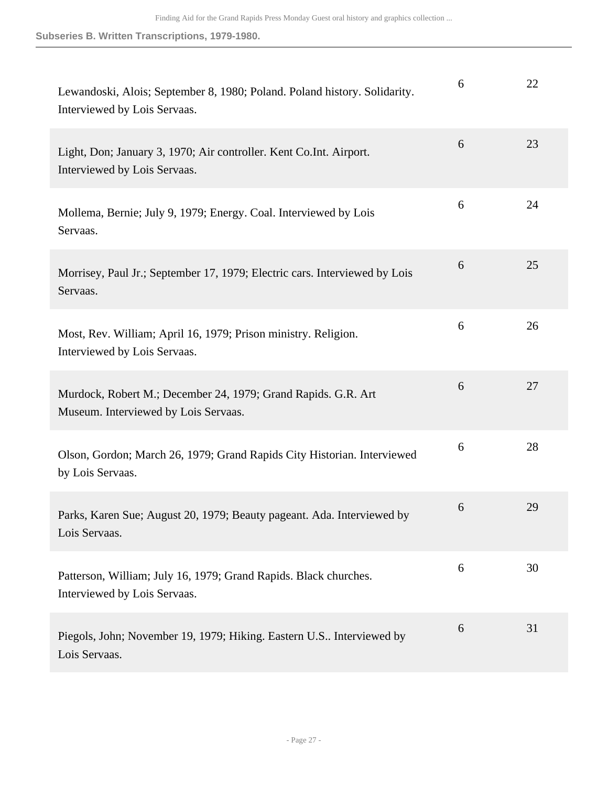| Lewandoski, Alois; September 8, 1980; Poland. Poland history. Solidarity.<br>Interviewed by Lois Servaas. | 6 | 22 |
|-----------------------------------------------------------------------------------------------------------|---|----|
| Light, Don; January 3, 1970; Air controller. Kent Co.Int. Airport.<br>Interviewed by Lois Servaas.        | 6 | 23 |
| Mollema, Bernie; July 9, 1979; Energy. Coal. Interviewed by Lois<br>Servaas.                              | 6 | 24 |
| Morrisey, Paul Jr.; September 17, 1979; Electric cars. Interviewed by Lois<br>Servaas.                    | 6 | 25 |
| Most, Rev. William; April 16, 1979; Prison ministry. Religion.<br>Interviewed by Lois Servaas.            | 6 | 26 |
| Murdock, Robert M.; December 24, 1979; Grand Rapids. G.R. Art<br>Museum. Interviewed by Lois Servaas.     | 6 | 27 |
| Olson, Gordon; March 26, 1979; Grand Rapids City Historian. Interviewed<br>by Lois Servaas.               | 6 | 28 |
| Parks, Karen Sue; August 20, 1979; Beauty pageant. Ada. Interviewed by<br>Lois Servaas.                   | 6 | 29 |
| Patterson, William; July 16, 1979; Grand Rapids. Black churches.<br>Interviewed by Lois Servaas.          | 6 | 30 |
| Piegols, John; November 19, 1979; Hiking. Eastern U.S Interviewed by<br>Lois Servaas.                     | 6 | 31 |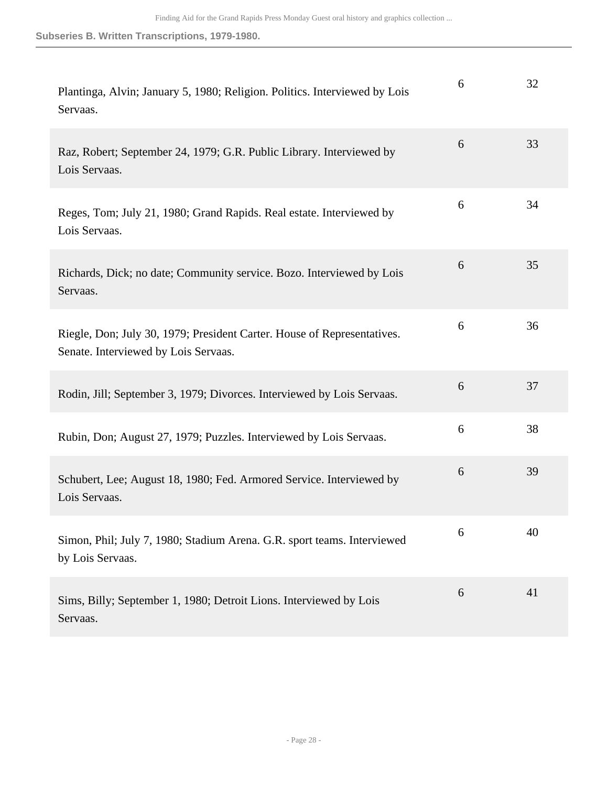| Plantinga, Alvin; January 5, 1980; Religion. Politics. Interviewed by Lois<br>Servaas.                          | 6 | 32 |
|-----------------------------------------------------------------------------------------------------------------|---|----|
| Raz, Robert; September 24, 1979; G.R. Public Library. Interviewed by<br>Lois Servaas.                           | 6 | 33 |
| Reges, Tom; July 21, 1980; Grand Rapids. Real estate. Interviewed by<br>Lois Servaas.                           | 6 | 34 |
| Richards, Dick; no date; Community service. Bozo. Interviewed by Lois<br>Servaas.                               | 6 | 35 |
| Riegle, Don; July 30, 1979; President Carter. House of Representatives.<br>Senate. Interviewed by Lois Servaas. | 6 | 36 |
| Rodin, Jill; September 3, 1979; Divorces. Interviewed by Lois Servaas.                                          | 6 | 37 |
| Rubin, Don; August 27, 1979; Puzzles. Interviewed by Lois Servaas.                                              | 6 | 38 |
| Schubert, Lee; August 18, 1980; Fed. Armored Service. Interviewed by<br>Lois Servaas.                           | 6 | 39 |
| Simon, Phil; July 7, 1980; Stadium Arena. G.R. sport teams. Interviewed<br>by Lois Servaas.                     | 6 | 40 |
| Sims, Billy; September 1, 1980; Detroit Lions. Interviewed by Lois<br>Servaas.                                  | 6 | 41 |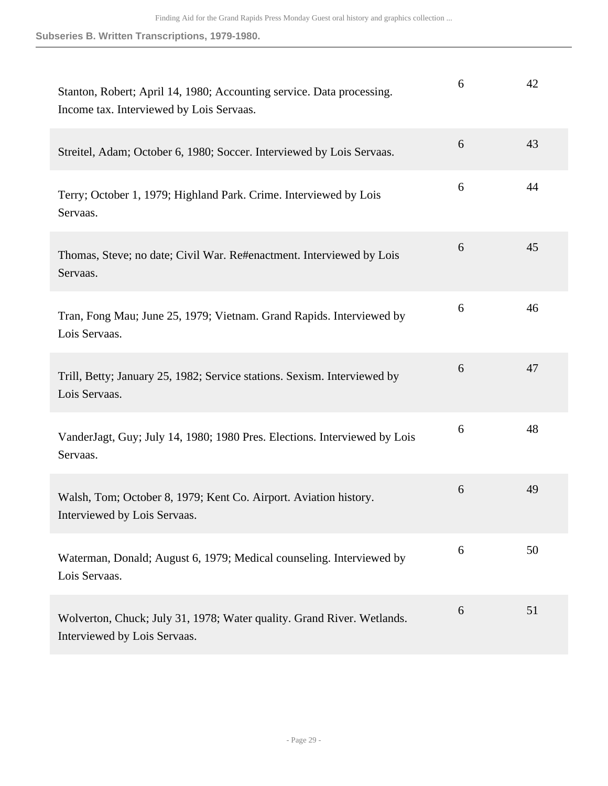| Stanton, Robert; April 14, 1980; Accounting service. Data processing.<br>Income tax. Interviewed by Lois Servaas. | 6 | 42 |
|-------------------------------------------------------------------------------------------------------------------|---|----|
| Streitel, Adam; October 6, 1980; Soccer. Interviewed by Lois Servaas.                                             | 6 | 43 |
| Terry; October 1, 1979; Highland Park. Crime. Interviewed by Lois<br>Servaas.                                     | 6 | 44 |
| Thomas, Steve; no date; Civil War. Re#enactment. Interviewed by Lois<br>Servaas.                                  | 6 | 45 |
| Tran, Fong Mau; June 25, 1979; Vietnam. Grand Rapids. Interviewed by<br>Lois Servaas.                             | 6 | 46 |
| Trill, Betty; January 25, 1982; Service stations. Sexism. Interviewed by<br>Lois Servaas.                         | 6 | 47 |
| VanderJagt, Guy; July 14, 1980; 1980 Pres. Elections. Interviewed by Lois<br>Servaas.                             | 6 | 48 |
| Walsh, Tom; October 8, 1979; Kent Co. Airport. Aviation history.<br>Interviewed by Lois Servaas.                  | 6 | 49 |
| Waterman, Donald; August 6, 1979; Medical counseling. Interviewed by<br>Lois Servaas.                             | 6 | 50 |
| Wolverton, Chuck; July 31, 1978; Water quality. Grand River. Wetlands.<br>Interviewed by Lois Servaas.            | 6 | 51 |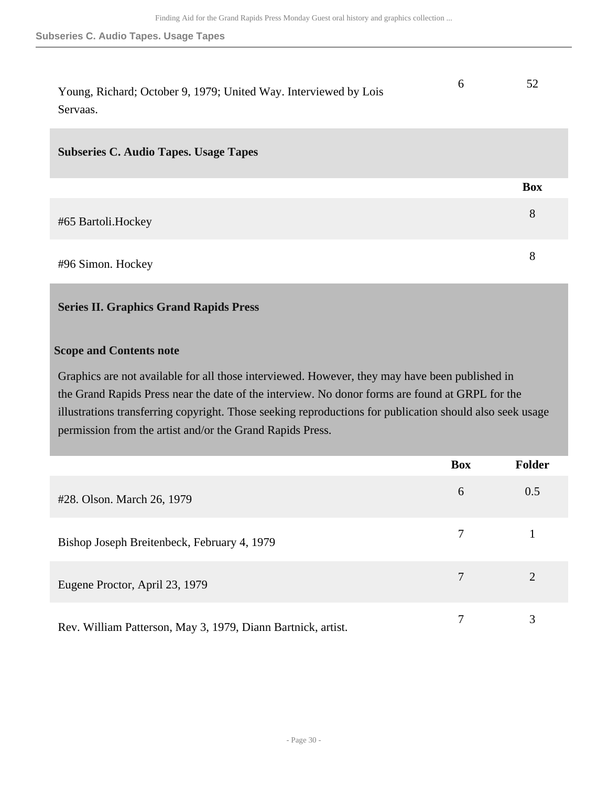| Young, Richard; October 9, 1979; United Way. Interviewed by Lois<br>Servaas. | 6 | 52         |
|------------------------------------------------------------------------------|---|------------|
| <b>Subseries C. Audio Tapes. Usage Tapes</b>                                 |   |            |
|                                                                              |   | <b>Box</b> |
| #65 Bartoli.Hockey                                                           |   | 8          |
| #96 Simon. Hockey                                                            |   | 8          |

### <span id="page-29-0"></span>**Series II. Graphics Grand Rapids Press**

#### **Scope and Contents note**

Graphics are not available for all those interviewed. However, they may have been published in the Grand Rapids Press near the date of the interview. No donor forms are found at GRPL for the illustrations transferring copyright. Those seeking reproductions for publication should also seek usage permission from the artist and/or the Grand Rapids Press.

|                                                              | <b>Box</b> | <b>Folder</b> |
|--------------------------------------------------------------|------------|---------------|
| #28. Olson. March 26, 1979                                   | 6          | 0.5           |
| Bishop Joseph Breitenbeck, February 4, 1979                  |            |               |
| Eugene Proctor, April 23, 1979                               |            | 2             |
| Rev. William Patterson, May 3, 1979, Diann Bartnick, artist. |            | 3             |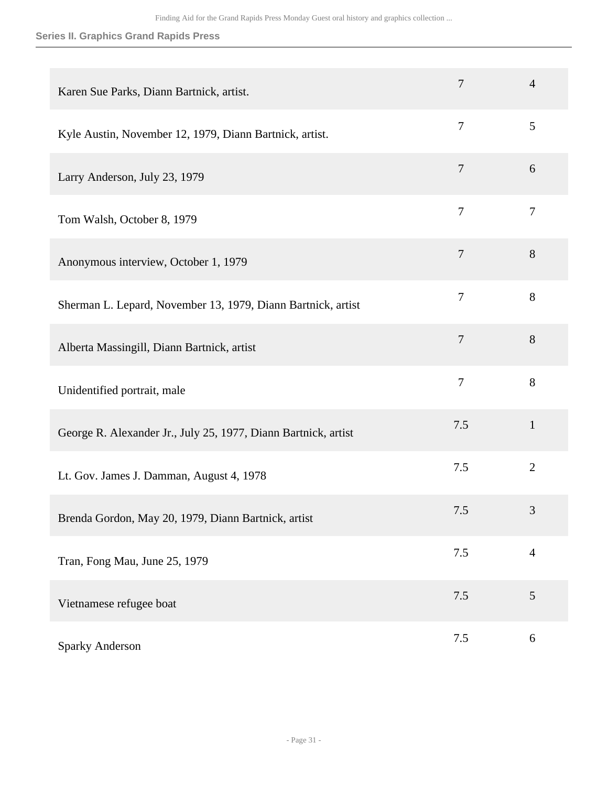### **Series II. Graphics Grand Rapids Press**

| Karen Sue Parks, Diann Bartnick, artist.                       | $\overline{7}$ | $\overline{4}$ |
|----------------------------------------------------------------|----------------|----------------|
| Kyle Austin, November 12, 1979, Diann Bartnick, artist.        | $\overline{7}$ | 5              |
| Larry Anderson, July 23, 1979                                  | $\overline{7}$ | 6              |
| Tom Walsh, October 8, 1979                                     | $\overline{7}$ | $\tau$         |
| Anonymous interview, October 1, 1979                           | $\overline{7}$ | 8              |
| Sherman L. Lepard, November 13, 1979, Diann Bartnick, artist   | $\overline{7}$ | 8              |
| Alberta Massingill, Diann Bartnick, artist                     | $\overline{7}$ | 8              |
| Unidentified portrait, male                                    | $\overline{7}$ | 8              |
| George R. Alexander Jr., July 25, 1977, Diann Bartnick, artist | 7.5            | $\mathbf{1}$   |
| Lt. Gov. James J. Damman, August 4, 1978                       | 7.5            | $\overline{2}$ |
| Brenda Gordon, May 20, 1979, Diann Bartnick, artist            | 7.5            | 3              |
| Tran, Fong Mau, June 25, 1979                                  | 7.5            | $\overline{4}$ |
| Vietnamese refugee boat                                        | 7.5            | 5              |
| Sparky Anderson                                                | 7.5            | 6              |